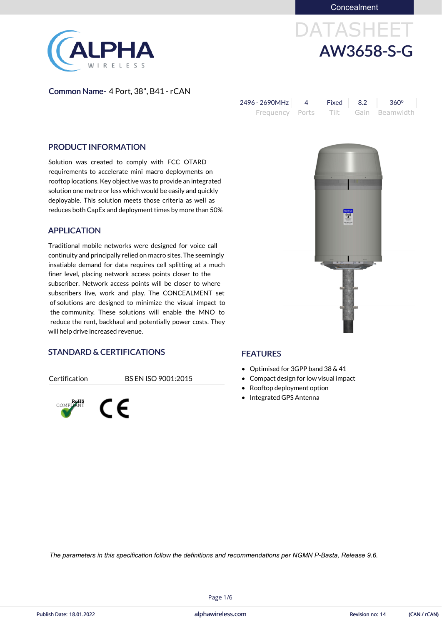Concealment

# DATASHEET AW3658-S-G



Common Name- 4 Port, 38", B41 - rCAN

| 2496 - 2690MHz | Fixed 8.2 | $360^{\circ}$                       |
|----------------|-----------|-------------------------------------|
|                |           | Frequency Ports Tilt Gain Beamwidth |

#### PRODUCT INFORMATION

Solution was created to comply with FCC OTARD requirements to accelerate mini macro deployments on rooftop locations. Key objective was to provide an integrated solution one metre or less which would be easily and quickly deployable. This solution meets those criteria as well as reduces both CapEx and deployment times by more than 50%

#### APPLICATION

Traditional mobile networks were designed for voice call continuity and principally relied on macro sites. The seemingly insatiable demand for data requires cell splitting at a much finer level, placing network access points closer to the subscriber. Network access points will be closer to where subscribers live, work and play. The CONCEALMENT set of solutions are designed to minimize the visual impact to the community. These solutions will enable the MNO to reduce the rent, backhaul and potentially power costs. They will help drive increased revenue.



#### STANDARD & CERTIFICATIONS

Certification BS EN ISO 9001:2015



#### FEATURES

- Optimised for 3GPP band 38 & 41
- Compact design for low visual impact
- Rooftop deployment option
- Integrated GPS Antenna

alphawireless.com

Page 1/6

*The parameters in this specification follow the definitions and recommendations per NGMN P-Basta, Release 9.6.*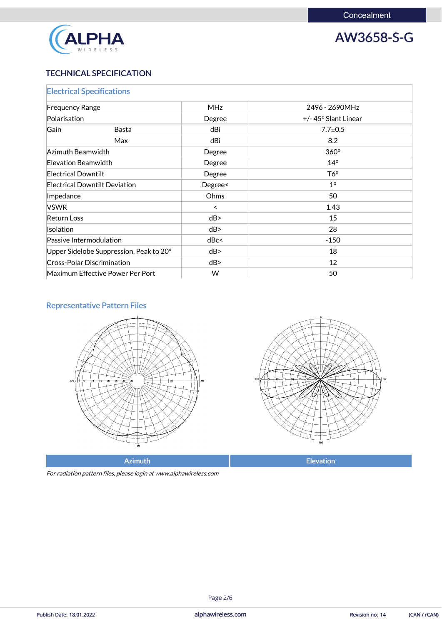



# TECHNICAL SPECIFICATION

| <b>Electrical Specifications</b>        |     |            |                                                 |  |  |
|-----------------------------------------|-----|------------|-------------------------------------------------|--|--|
| <b>Frequency Range</b><br>Polarisation  |     | <b>MHz</b> | 2496 - 2690MHz<br>$+/- 45^{\circ}$ Slant Linear |  |  |
|                                         |     | Degree     |                                                 |  |  |
| Gain<br>Basta                           |     | dBi        | $7.7 \pm 0.5$                                   |  |  |
|                                         | Max | dBi        | 8.2                                             |  |  |
| Azimuth Beamwidth                       |     | Degree     | 360°                                            |  |  |
| Elevation Beamwidth                     |     | Degree     | 14 <sup>0</sup>                                 |  |  |
| <b>Electrical Downtilt</b>              |     | Degree     | T6 <sup>o</sup>                                 |  |  |
| <b>Electrical Downtilt Deviation</b>    |     | Degree<    | 1 <sup>0</sup>                                  |  |  |
| Impedance                               |     | Ohms       | 50                                              |  |  |
| <b>VSWR</b>                             |     | $\prec$    | 1.43                                            |  |  |
| <b>Return Loss</b>                      |     | dB         | 15                                              |  |  |
| <b>Isolation</b>                        |     | dB         | 28                                              |  |  |
| Passive Intermodulation                 |     | dBc<       | $-150$                                          |  |  |
| Upper Sidelobe Suppression, Peak to 20° |     | dB         | 18                                              |  |  |
| <b>Cross-Polar Discrimination</b>       |     | dB         | 12                                              |  |  |
| Maximum Effective Power Per Port        |     | W          | 50                                              |  |  |

# Representative Pattern Files





Azimuth **Elevation** 

For radiation pattern files, please login at www.alphawireless.com

alphawireless.com

Publish Date: 18.01.2022 **Revision no: 14** (CAN / rCAN)

Page 2/6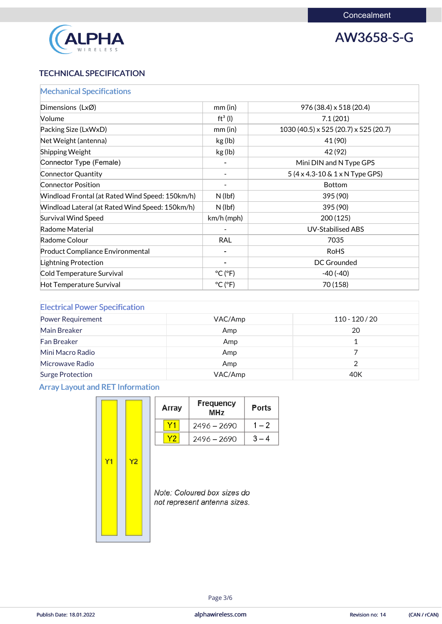

# AW3658-S-G

# TECHNICAL SPECIFICATION

| <b>Mechanical Specifications</b>                |                              |                                                |
|-------------------------------------------------|------------------------------|------------------------------------------------|
| Dimensions (LxØ)                                | $mm$ (in)                    | 976 (38.4) x 518 (20.4)                        |
| <b>Volume</b>                                   | $ft^3$ (l)                   | 7.1(201)                                       |
| Packing Size (LxWxD)                            | $mm$ (in)                    | $1030(40.5) \times 525(20.7) \times 525(20.7)$ |
| Net Weight (antenna)                            | kg (lb)                      | 41 (90)                                        |
| <b>Shipping Weight</b>                          | kg (lb)                      | 42 (92)                                        |
| Connector Type (Female)                         |                              | Mini DIN and N Type GPS                        |
| Connector Quantity                              | $\overline{\phantom{a}}$     | $5(4 \times 4.3 - 10 \& 1 \times N)$ Type GPS) |
| <b>Connector Position</b>                       | $\overline{\phantom{a}}$     | <b>Bottom</b>                                  |
| Windload Frontal (at Rated Wind Speed: 150km/h) | $N$ (lbf)                    | 395 (90)                                       |
| Windload Lateral (at Rated Wind Speed: 150km/h) | $N$ (lbf)                    | 395 (90)                                       |
| Survival Wind Speed                             | $km/h$ (mph)                 | 200(125)                                       |
| Radome Material                                 |                              | <b>UV-Stabilised ABS</b>                       |
| Radome Colour                                   | <b>RAL</b>                   | 7035                                           |
| <b>Product Compliance Environmental</b>         |                              | <b>RoHS</b>                                    |
| Lightning Protection                            |                              | DC Grounded                                    |
| Cold Temperature Survival                       | $^{\circ}$ C ( $^{\circ}$ F) | $-40(-40)$                                     |
| Hot Temperature Survival                        | $^{\circ}$ C ( $^{\circ}$ F) | 70 (158)                                       |

| <b>Electrical Power Specification</b> |         |                  |
|---------------------------------------|---------|------------------|
| <b>Power Requirement</b>              | VAC/Amp | $110 - 120 / 20$ |
| Main Breaker                          | Amp     | 20               |
| <b>Fan Breaker</b>                    | Amp     |                  |
| Mini Macro Radio                      | Amp     |                  |
| Microwave Radio                       | Amp     |                  |
| <b>Surge Protection</b>               | VAC/Amp | 40K              |

# Array Layout and RET Information

|    |    | Array | <b>Frequency</b><br><b>MHz</b> | <b>Ports</b> |
|----|----|-------|--------------------------------|--------------|
|    |    |       | $2496 - 2690$                  | $1 - 2$      |
|    |    | Υ2    | $2496 - 2690$                  | $3 - 4$      |
| ۷1 | Y2 |       |                                |              |



Note: Coloured box sizes do not represent antenna sizes.

alphawireless.com

Page 3/6

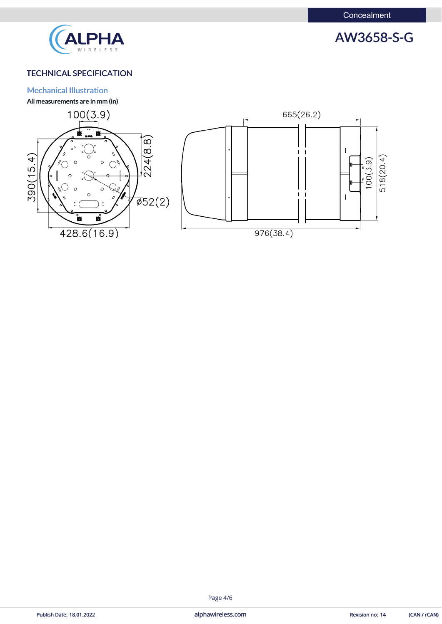

# AW3658-S-G

## TECHNICAL SPECIFICATION

#### Mechanical Illustration

All measurements are in mm (in)



alphawireless.com

#### Publish Date: 18.01.2022 **Revision no: 14** (CAN / rCAN)

#### Page 4/6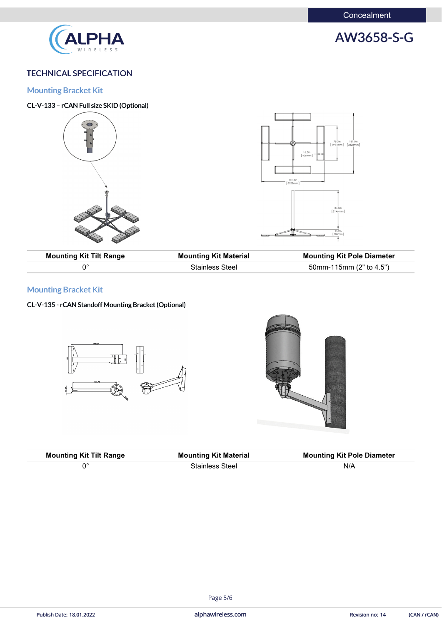**Concealment** 





## TECHNICAL SPECIFICATION

Mounting Bracket Kit

## CL-V-133 – rCAN Full size SKID (Optional)



| <b>Mounting Kit Tilt Range</b> | <b>Mounting Kit Material</b> | <b>Mounting Kit Pole Diameter</b> |
|--------------------------------|------------------------------|-----------------------------------|
|                                | <b>Stainless Steel</b>       | 50mm-115mm (2" to 4.5")           |

# Mounting Bracket Kit

### CL-V-135 - rCAN Standoff Mounting Bracket (Optional)





| <b>Mounting Kit Tilt Range</b> | <b>Mounting Kit Material</b> | <b>Mounting Kit Pole Diameter</b> |
|--------------------------------|------------------------------|-----------------------------------|
| ∩∘                             | <b>Stainless Steel</b>       | N/A                               |

alphawireless.com

#### Page 5/6